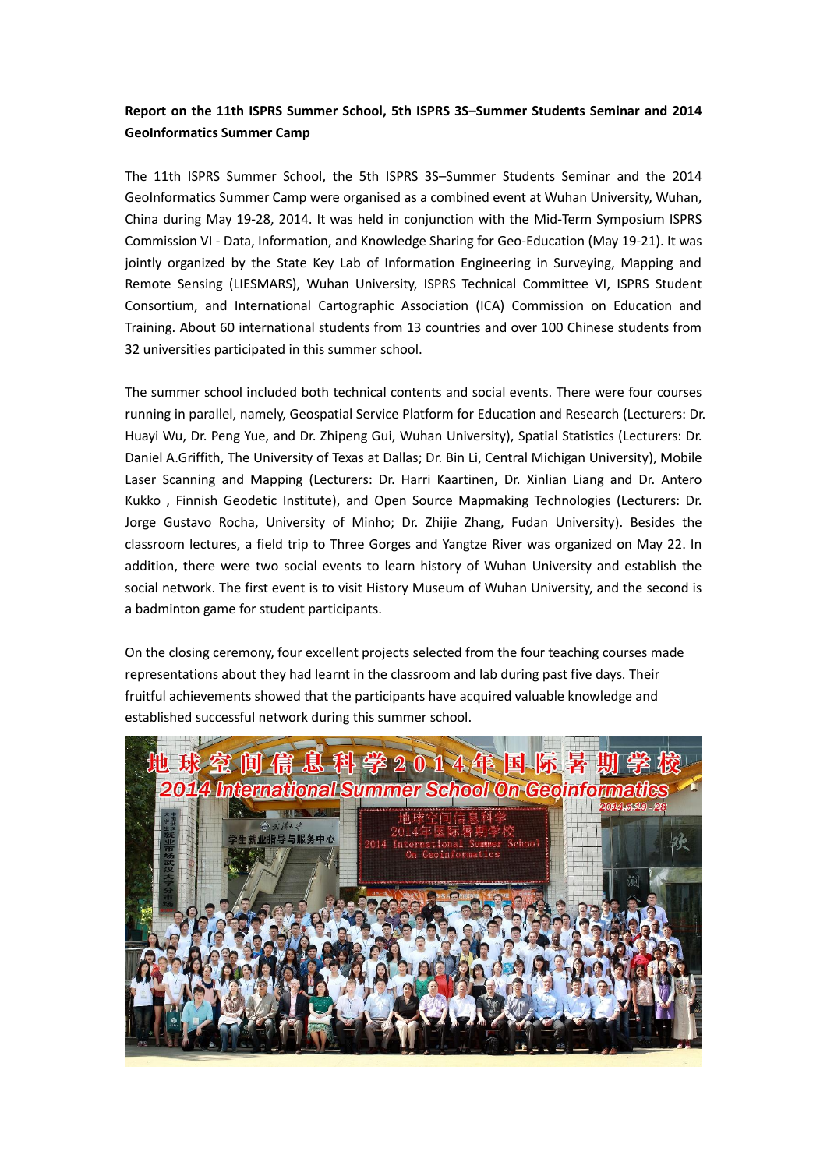## **Report on the 11th ISPRS Summer School, 5th ISPRS 3S–Summer Students Seminar and 2014 GeoInformatics Summer Camp**

The 11th ISPRS Summer School, the 5th ISPRS 3S–Summer Students Seminar and the 2014 GeoInformatics Summer Camp were organised as a combined event at Wuhan University, Wuhan, China during May 19-28, 2014. It was held in conjunction with the Mid-Term Symposium ISPRS Commission VI - Data, Information, and Knowledge Sharing for Geo-Education (May 19-21). It was jointly organized by the State Key Lab of Information Engineering in Surveying, Mapping and Remote Sensing (LIESMARS), Wuhan University, ISPRS Technical Committee VI, ISPRS Student Consortium, and International Cartographic Association (ICA) Commission on Education and Training. About 60 international students from 13 countries and over 100 Chinese students from 32 universities participated in this summer school.

The summer school included both technical contents and social events. There were four courses running in parallel, namely, Geospatial Service Platform for Education and Research (Lecturers: Dr. Huayi Wu, Dr. Peng Yue, and Dr. Zhipeng Gui, Wuhan University), Spatial Statistics (Lecturers: Dr. Daniel A.Griffith, The University of Texas at Dallas; Dr. Bin Li, Central Michigan University), Mobile Laser Scanning and Mapping (Lecturers: Dr. Harri Kaartinen, Dr. Xinlian Liang and Dr. Antero Kukko , Finnish Geodetic Institute), and Open Source Mapmaking Technologies (Lecturers: Dr. Jorge Gustavo Rocha, University of Minho; Dr. Zhijie Zhang, Fudan University). Besides the classroom lectures, a field trip to Three Gorges and Yangtze River was organized on May 22. In addition, there were two social events to learn history of Wuhan University and establish the social network. The first event is to visit History Museum of Wuhan University, and the second is a badminton game for student participants.

On the closing ceremony, four excellent projects selected from the four teaching courses made representations about they had learnt in the classroom and lab during past five days. Their fruitful achievements showed that the participants have acquired valuable knowledge and established successful network during this summer school.